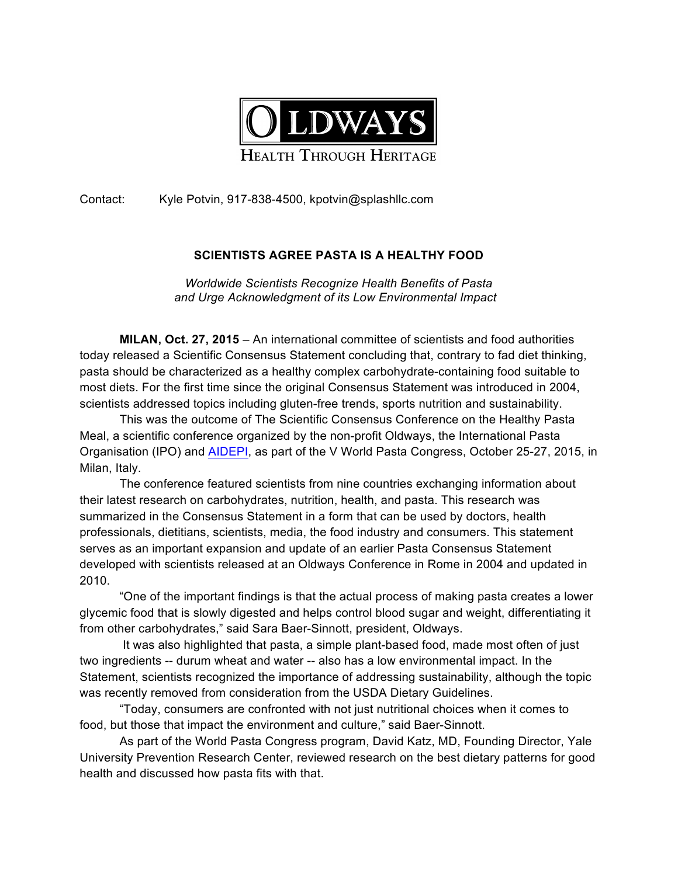

## Contact: Kyle Potvin, 917-838-4500, kpotvin@splashllc.com

## **SCIENTISTS AGREE PASTA IS A HEALTHY FOOD**

*Worldwide Scientists Recognize Health Benefits of Pasta and Urge Acknowledgment of its Low Environmental Impact* 

**MILAN, Oct. 27, 2015** – An international committee of scientists and food authorities today released a Scientific Consensus Statement concluding that, contrary to fad diet thinking, pasta should be characterized as a healthy complex carbohydrate-containing food suitable to most diets. For the first time since the original Consensus Statement was introduced in 2004, scientists addressed topics including gluten-free trends, sports nutrition and sustainability.

This was the outcome of The Scientific Consensus Conference on the Healthy Pasta Meal, a scientific conference organized by the non-profit Oldways, the International Pasta Organisation (IPO) and AIDEPI, as part of the V World Pasta Congress, October 25-27, 2015, in Milan, Italy.

The conference featured scientists from nine countries exchanging information about their latest research on carbohydrates, nutrition, health, and pasta. This research was summarized in the Consensus Statement in a form that can be used by doctors, health professionals, dietitians, scientists, media, the food industry and consumers. This statement serves as an important expansion and update of an earlier Pasta Consensus Statement developed with scientists released at an Oldways Conference in Rome in 2004 and updated in 2010.

"One of the important findings is that the actual process of making pasta creates a lower glycemic food that is slowly digested and helps control blood sugar and weight, differentiating it from other carbohydrates," said Sara Baer-Sinnott, president, Oldways.

It was also highlighted that pasta, a simple plant-based food, made most often of just two ingredients -- durum wheat and water -- also has a low environmental impact. In the Statement, scientists recognized the importance of addressing sustainability, although the topic was recently removed from consideration from the USDA Dietary Guidelines.

"Today, consumers are confronted with not just nutritional choices when it comes to food, but those that impact the environment and culture," said Baer-Sinnott.

As part of the World Pasta Congress program, David Katz, MD, Founding Director, Yale University Prevention Research Center, reviewed research on the best dietary patterns for good health and discussed how pasta fits with that.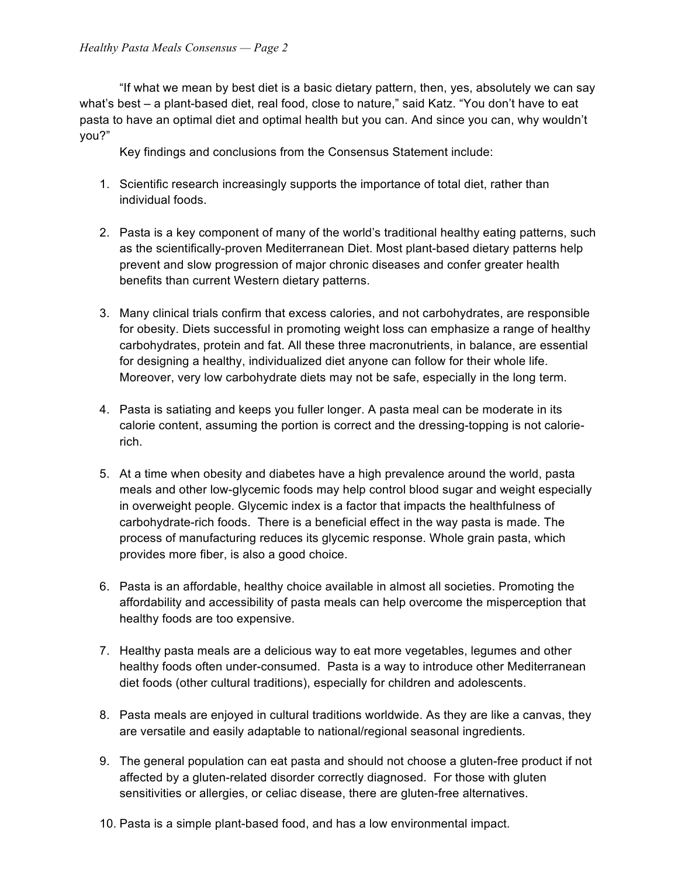"If what we mean by best diet is a basic dietary pattern, then, yes, absolutely we can say what's best – a plant-based diet, real food, close to nature," said Katz. "You don't have to eat pasta to have an optimal diet and optimal health but you can. And since you can, why wouldn't you?"

Key findings and conclusions from the Consensus Statement include:

- 1. Scientific research increasingly supports the importance of total diet, rather than individual foods.
- 2. Pasta is a key component of many of the world's traditional healthy eating patterns, such as the scientifically-proven Mediterranean Diet. Most plant-based dietary patterns help prevent and slow progression of major chronic diseases and confer greater health benefits than current Western dietary patterns.
- 3. Many clinical trials confirm that excess calories, and not carbohydrates, are responsible for obesity. Diets successful in promoting weight loss can emphasize a range of healthy carbohydrates, protein and fat. All these three macronutrients, in balance, are essential for designing a healthy, individualized diet anyone can follow for their whole life. Moreover, very low carbohydrate diets may not be safe, especially in the long term.
- 4. Pasta is satiating and keeps you fuller longer. A pasta meal can be moderate in its calorie content, assuming the portion is correct and the dressing-topping is not calorierich.
- 5. At a time when obesity and diabetes have a high prevalence around the world, pasta meals and other low-glycemic foods may help control blood sugar and weight especially in overweight people. Glycemic index is a factor that impacts the healthfulness of carbohydrate-rich foods. There is a beneficial effect in the way pasta is made. The process of manufacturing reduces its glycemic response. Whole grain pasta, which provides more fiber, is also a good choice.
- 6. Pasta is an affordable, healthy choice available in almost all societies. Promoting the affordability and accessibility of pasta meals can help overcome the misperception that healthy foods are too expensive.
- 7. Healthy pasta meals are a delicious way to eat more vegetables, legumes and other healthy foods often under-consumed. Pasta is a way to introduce other Mediterranean diet foods (other cultural traditions), especially for children and adolescents.
- 8. Pasta meals are enjoyed in cultural traditions worldwide. As they are like a canvas, they are versatile and easily adaptable to national/regional seasonal ingredients.
- 9. The general population can eat pasta and should not choose a gluten-free product if not affected by a gluten-related disorder correctly diagnosed. For those with gluten sensitivities or allergies, or celiac disease, there are gluten-free alternatives.
- 10. Pasta is a simple plant-based food, and has a low environmental impact.